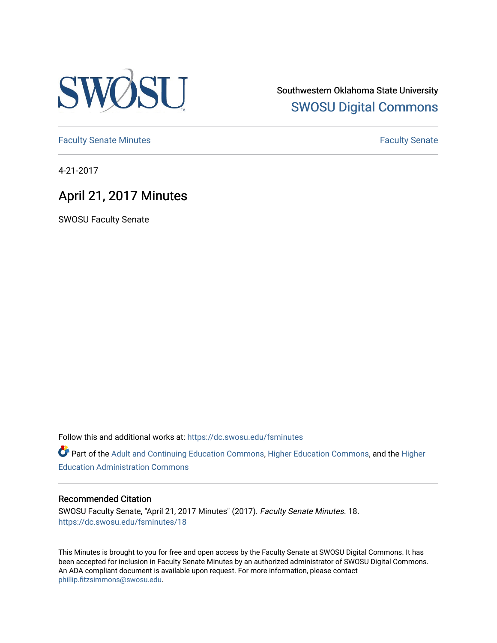

Southwestern Oklahoma State University [SWOSU Digital Commons](https://dc.swosu.edu/) 

[Faculty Senate Minutes](https://dc.swosu.edu/fsminutes) **Faculty** Senate Minutes

4-21-2017

### April 21, 2017 Minutes

SWOSU Faculty Senate

Follow this and additional works at: [https://dc.swosu.edu/fsminutes](https://dc.swosu.edu/fsminutes?utm_source=dc.swosu.edu%2Ffsminutes%2F18&utm_medium=PDF&utm_campaign=PDFCoverPages) 

Part of the [Adult and Continuing Education Commons,](http://network.bepress.com/hgg/discipline/1375?utm_source=dc.swosu.edu%2Ffsminutes%2F18&utm_medium=PDF&utm_campaign=PDFCoverPages) [Higher Education Commons,](http://network.bepress.com/hgg/discipline/1245?utm_source=dc.swosu.edu%2Ffsminutes%2F18&utm_medium=PDF&utm_campaign=PDFCoverPages) and the [Higher](http://network.bepress.com/hgg/discipline/791?utm_source=dc.swosu.edu%2Ffsminutes%2F18&utm_medium=PDF&utm_campaign=PDFCoverPages) [Education Administration Commons](http://network.bepress.com/hgg/discipline/791?utm_source=dc.swosu.edu%2Ffsminutes%2F18&utm_medium=PDF&utm_campaign=PDFCoverPages) 

#### Recommended Citation

SWOSU Faculty Senate, "April 21, 2017 Minutes" (2017). Faculty Senate Minutes. 18. [https://dc.swosu.edu/fsminutes/18](https://dc.swosu.edu/fsminutes/18?utm_source=dc.swosu.edu%2Ffsminutes%2F18&utm_medium=PDF&utm_campaign=PDFCoverPages) 

This Minutes is brought to you for free and open access by the Faculty Senate at SWOSU Digital Commons. It has been accepted for inclusion in Faculty Senate Minutes by an authorized administrator of SWOSU Digital Commons. An ADA compliant document is available upon request. For more information, please contact [phillip.fitzsimmons@swosu.edu](mailto:phillip.fitzsimmons@swosu.edu).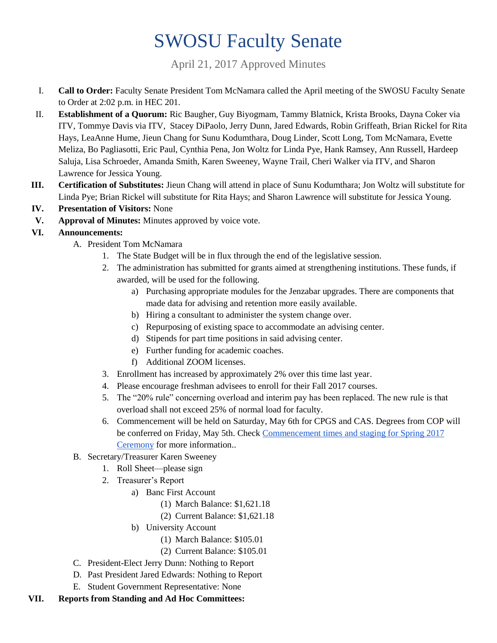# SWOSU Faculty Senate

April 21, 2017 Approved Minutes

- I. **Call to Order:** Faculty Senate President Tom McNamara called the April meeting of the SWOSU Faculty Senate to Order at 2:02 p.m. in HEC 201.
- II. **Establishment of a Quorum:** Ric Baugher, Guy Biyogmam, Tammy Blatnick, Krista Brooks, Dayna Coker via ITV, Tommye Davis via ITV, Stacey DiPaolo, Jerry Dunn, Jared Edwards, Robin Griffeath, Brian Rickel for Rita Hays, LeaAnne Hume, Jieun Chang for Sunu Kodumthara, Doug Linder, Scott Long, Tom McNamara, Evette Meliza, Bo Pagliasotti, Eric Paul, Cynthia Pena, Jon Woltz for Linda Pye, Hank Ramsey, Ann Russell, Hardeep Saluja, Lisa Schroeder, Amanda Smith, Karen Sweeney, Wayne Trail, Cheri Walker via ITV, and Sharon Lawrence for Jessica Young.
- **III. Certification of Substitutes:** Jieun Chang will attend in place of Sunu Kodumthara; Jon Woltz will substitute for Linda Pye; Brian Rickel will substitute for Rita Hays; and Sharon Lawrence will substitute for Jessica Young.
- **IV. Presentation of Visitors:** None
- **V. Approval of Minutes:** Minutes approved by voice vote.
- **VI. Announcements:**
	- A. President Tom McNamara
		- 1. The State Budget will be in flux through the end of the legislative session.
		- 2. The administration has submitted for grants aimed at strengthening institutions. These funds, if awarded, will be used for the following.
			- a) Purchasing appropriate modules for the Jenzabar upgrades. There are components that made data for advising and retention more easily available.
			- b) Hiring a consultant to administer the system change over.
			- c) Repurposing of existing space to accommodate an advising center.
			- d) Stipends for part time positions in said advising center.
			- e) Further funding for academic coaches.
			- f) Additional ZOOM licenses.
		- 3. Enrollment has increased by approximately 2% over this time last year.
		- 4. Please encourage freshman advisees to enroll for their Fall 2017 courses.
		- 5. The "20% rule" concerning overload and interim pay has been replaced. The new rule is that overload shall not exceed 25% of normal load for faculty.
		- 6. Commencement will be held on Saturday, May 6th for CPGS and CAS. Degrees from COP will be conferred on Friday, May 5th. Check [Commencement times and staging for Spring 2017](http://www.swosu.edu/commencement/)  [Ceremony](http://www.swosu.edu/commencement/) for more information..
	- B. Secretary/Treasurer Karen Sweeney
		- 1. Roll Sheet—please sign
		- 2. Treasurer's Report
			- a) Banc First Account
				- (1) March Balance: \$1,621.18
				- (2) Current Balance: \$1,621.18
			- b) University Account
				- (1) March Balance: \$105.01
				- (2) Current Balance: \$105.01
	- C. President-Elect Jerry Dunn: Nothing to Report
	- D. Past President Jared Edwards: Nothing to Report
	- E. Student Government Representative: None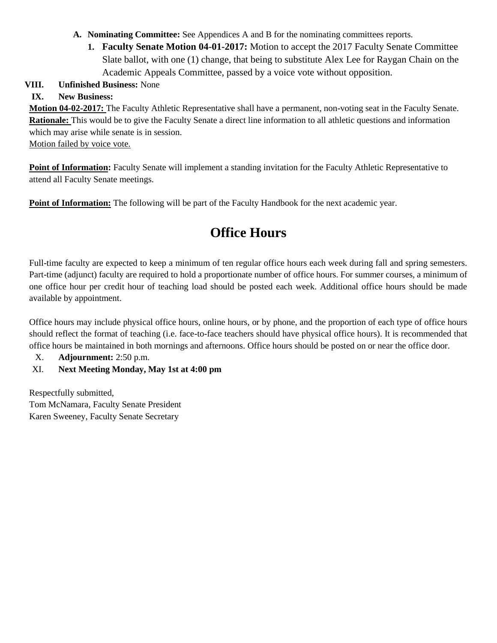- **A. Nominating Committee:** See Appendices A and B for the nominating committees reports.
	- **1. Faculty Senate Motion 04-01-2017:** Motion to accept the 2017 Faculty Senate Committee Slate ballot, with one (1) change, that being to substitute Alex Lee for Raygan Chain on the Academic Appeals Committee, passed by a voice vote without opposition.

#### **VIII. Unfinished Business:** None

### **IX. New Business:**

**Motion 04-02-2017:** The Faculty Athletic Representative shall have a permanent, non-voting seat in the Faculty Senate. **Rationale:** This would be to give the Faculty Senate a direct line information to all athletic questions and information which may arise while senate is in session.

Motion failed by voice vote.

**Point of Information:** Faculty Senate will implement a standing invitation for the Faculty Athletic Representative to attend all Faculty Senate meetings.

**Point of Information:** The following will be part of the Faculty Handbook for the next academic year.

## **Office Hours**

Full-time faculty are expected to keep a minimum of ten regular office hours each week during fall and spring semesters. Part-time (adjunct) faculty are required to hold a proportionate number of office hours. For summer courses, a minimum of one office hour per credit hour of teaching load should be posted each week. Additional office hours should be made available by appointment.

Office hours may include physical office hours, online hours, or by phone, and the proportion of each type of office hours should reflect the format of teaching (i.e. face-to-face teachers should have physical office hours). It is recommended that office hours be maintained in both mornings and afternoons. Office hours should be posted on or near the office door.

X. **Adjournment:** 2:50 p.m.

#### XI. **Next Meeting Monday, May 1st at 4:00 pm**

Respectfully submitted, Tom McNamara, Faculty Senate President Karen Sweeney, Faculty Senate Secretary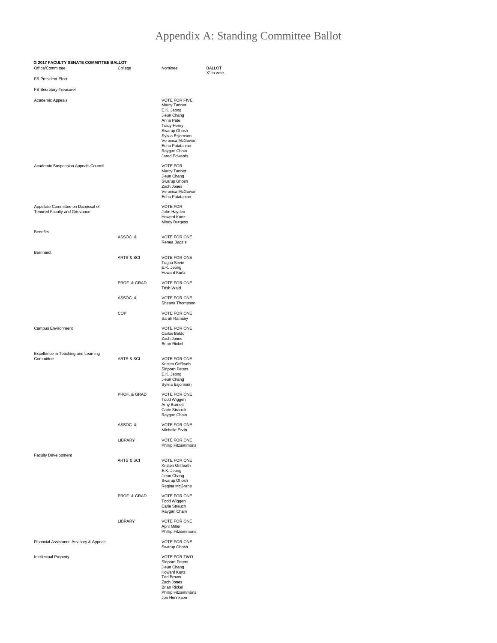### Appendix A: Standing Committee Ballot

| G 2017 FACULTY SENATE COMMITTEE BALLOT<br>Office/Committee<br>College |                       | Nominee                                                                                                                                                                                                          | <b>BALLOT</b> |
|-----------------------------------------------------------------------|-----------------------|------------------------------------------------------------------------------------------------------------------------------------------------------------------------------------------------------------------|---------------|
| <b>FS President-Elect</b>                                             |                       |                                                                                                                                                                                                                  | X" to vote    |
| FS Secretary-Treasurer                                                |                       |                                                                                                                                                                                                                  |               |
| Academic Appeals                                                      |                       | <b>VOTE FOR FIVE</b><br>Marcy Tanner<br>E.K. Jeong<br>Jieun Chang<br>Anne Pate<br><b>Tracy Henry</b><br>Swarup Ghosh<br>Sylvia Esjornson<br>Veronica McGowan<br>Edna Patatanian<br>Raygan Chain<br>Jared Edwards |               |
| Academic Suspension Appeals Council                                   |                       | <b>VOTE FOR</b><br>Marcy Tanner<br>Jieun Chang<br>Swarup Ghosh<br>Zach Jones<br>Veronica McGowan<br>Edna Patatanian                                                                                              |               |
| Appellate Committee on Dismissal of<br>Tenured Faculty and Grievance  |                       | <b>VOTE FOR</b><br>John Hayden<br>Howard Kurtz<br>Mindy Burgess                                                                                                                                                  |               |
| <b>Benefits</b>                                                       | ASSOC.&               | <b>VOTE FOR ONE</b><br>Renea Bagzis                                                                                                                                                                              |               |
| Bernhardt                                                             | <b>ARTS &amp; SCI</b> | <b>VOTE FOR ONE</b><br>Tugba Sevin<br>E.K. Jeong<br><b>Howard Kurtz</b>                                                                                                                                          |               |
|                                                                       | PROF. & GRAD          | VOTE FOR ONE<br><b>Trish Wald</b>                                                                                                                                                                                |               |
|                                                                       | ASSOC.&               | VOTE FOR ONE<br>Sheana Thompson                                                                                                                                                                                  |               |
|                                                                       | COP                   | <b>VOTE FOR ONE</b><br>Sarah Ramsey                                                                                                                                                                              |               |
| Campus Environment                                                    |                       | VOTE FOR ONE<br>Carlos Baldo<br>Zach Jones<br><b>Brian Rickel</b>                                                                                                                                                |               |
| Excellence in Teaching and Learning<br>Committee                      | ARTS & SCI            | VOTE FOR ONE<br>Kristen Griffeath<br>Siriporn Peters<br>E.K. Jeong<br>Jieun Chang<br>Sylvia Esjornson                                                                                                            |               |
|                                                                       | PROF. & GRAD          | VOTE FOR ONE<br>Todd Wiggen<br>Amy Barnett<br>Carie Strauch<br>Raygan Chain                                                                                                                                      |               |
|                                                                       | ASSOC. &              | VOTE FOR ONE<br>Michelle Ervin                                                                                                                                                                                   |               |
|                                                                       | LIBRARY               | VOTE FOR ONE<br>Phillip Fitzsimmons                                                                                                                                                                              |               |
| <b>Faculty Development</b>                                            | <b>ARTS &amp; SCI</b> | <b>VOTE FOR ONE</b><br>Kristen Griffeath<br>E.K. Jeong<br>Jieun Chang<br>Swarup Ghosh<br>Regina McGrane                                                                                                          |               |
|                                                                       | PROF. & GRAD          | <b>VOTE FOR ONE</b><br>Todd Wiggen<br>Carie Strauch<br>Raygan Chain                                                                                                                                              |               |
|                                                                       | LIBRARY               | VOTE FOR ONE<br><b>April Miller</b><br>Phillip Fitzsimmons                                                                                                                                                       |               |
| Financial Assistance Advisory & Appeals                               |                       | VOTE FOR ONE<br>Swarup Ghosh                                                                                                                                                                                     |               |
| Intellectual Property                                                 |                       | VOTE FOR TWO<br>Siriporn Peters<br>Jieun Chang<br><b>Howard Kurtz</b><br>Ted Brown<br>Zach Jones<br><b>Brian Rickel</b><br>Phillip Fitzsimmons<br>Jon Henrikson                                                  |               |